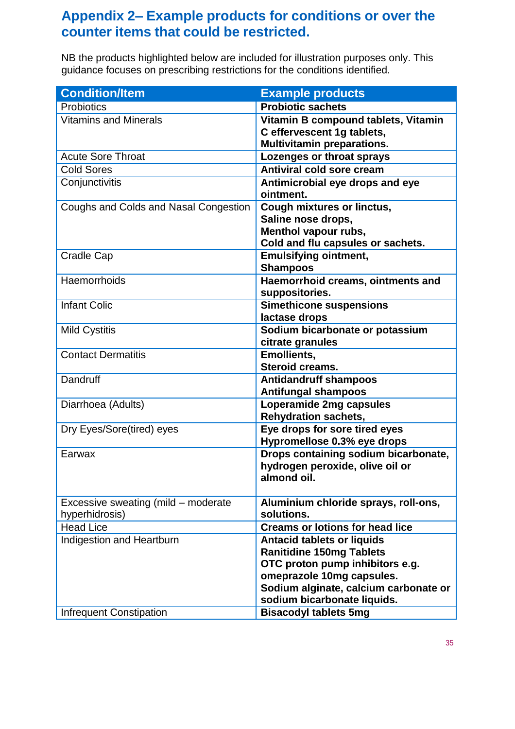## **Appendix 2– Example products for conditions or over the counter items that could be restricted.**

 NB the products highlighted below are included for illustration purposes only. This guidance focuses on prescribing restrictions for the conditions identified.

| <b>Condition/Item</b>                 | <b>Example products</b>                                                                                              |
|---------------------------------------|----------------------------------------------------------------------------------------------------------------------|
| <b>Probiotics</b>                     | <b>Probiotic sachets</b>                                                                                             |
| <b>Vitamins and Minerals</b>          | Vitamin B compound tablets, Vitamin<br>C effervescent 1g tablets,<br><b>Multivitamin preparations.</b>               |
| <b>Acute Sore Throat</b>              | Lozenges or throat sprays                                                                                            |
| <b>Cold Sores</b>                     | <b>Antiviral cold sore cream</b>                                                                                     |
| Conjunctivitis                        | Antimicrobial eye drops and eye<br>ointment.                                                                         |
| Coughs and Colds and Nasal Congestion | <b>Cough mixtures or linctus,</b><br>Saline nose drops,<br>Menthol vapour rubs,<br>Cold and flu capsules or sachets. |
| <b>Cradle Cap</b>                     | <b>Emulsifying ointment,</b><br><b>Shampoos</b>                                                                      |
| Haemorrhoids                          | Haemorrhoid creams, ointments and<br>suppositories.                                                                  |
| <b>Infant Colic</b>                   | <b>Simethicone suspensions</b><br>lactase drops                                                                      |
| <b>Mild Cystitis</b>                  | Sodium bicarbonate or potassium<br>citrate granules                                                                  |
| <b>Contact Dermatitis</b>             | <b>Emollients,</b><br><b>Steroid creams.</b>                                                                         |
| Dandruff                              | <b>Antidandruff shampoos</b><br><b>Antifungal shampoos</b>                                                           |
| Diarrhoea (Adults)                    | Loperamide 2mg capsules<br><b>Rehydration sachets,</b>                                                               |
| Dry Eyes/Sore(tired) eyes             | Eye drops for sore tired eyes<br>Hypromellose 0.3% eye drops                                                         |
| Earwax                                | Drops containing sodium bicarbonate,<br>hydrogen peroxide, olive oil or<br>almond oil.                               |
| Excessive sweating (mild - moderate   | Aluminium chloride sprays, roll-ons,<br>solutions.                                                                   |
| hyperhidrosis)<br><b>Head Lice</b>    | <b>Creams or lotions for head lice</b>                                                                               |
| Indigestion and Heartburn             | <b>Antacid tablets or liquids</b>                                                                                    |
|                                       | <b>Ranitidine 150mg Tablets</b>                                                                                      |
|                                       | OTC proton pump inhibitors e.g.                                                                                      |
|                                       | omeprazole 10mg capsules.                                                                                            |
|                                       | Sodium alginate, calcium carbonate or                                                                                |
|                                       | sodium bicarbonate liquids.                                                                                          |
| <b>Infrequent Constipation</b>        | <b>Bisacodyl tablets 5mg</b>                                                                                         |